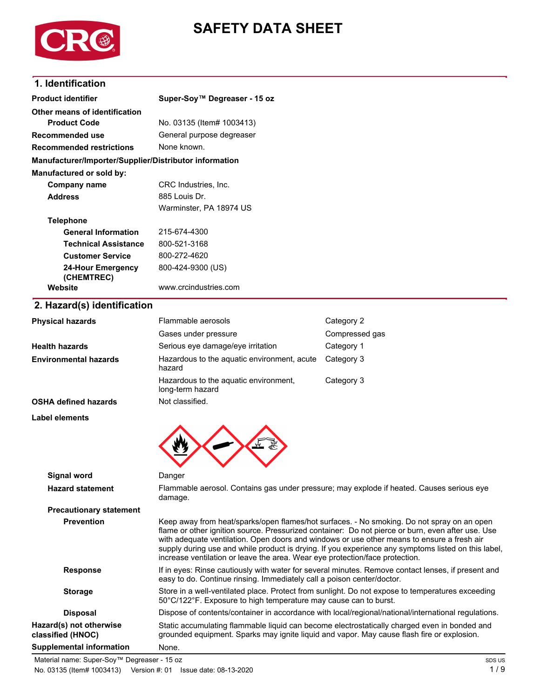

# **SAFETY DATA SHEET**

# **1. Identification**

| <b>Product identifier</b>                              | Super-Soy™ Degreaser - 15 oz                                                                                                                                                                                                                                                                                                                                                                                                                                                         |                |  |
|--------------------------------------------------------|--------------------------------------------------------------------------------------------------------------------------------------------------------------------------------------------------------------------------------------------------------------------------------------------------------------------------------------------------------------------------------------------------------------------------------------------------------------------------------------|----------------|--|
| Other means of identification                          |                                                                                                                                                                                                                                                                                                                                                                                                                                                                                      |                |  |
| <b>Product Code</b>                                    | No. 03135 (Item# 1003413)<br>General purpose degreaser<br>None known.                                                                                                                                                                                                                                                                                                                                                                                                                |                |  |
| <b>Recommended use</b>                                 |                                                                                                                                                                                                                                                                                                                                                                                                                                                                                      |                |  |
| <b>Recommended restrictions</b>                        |                                                                                                                                                                                                                                                                                                                                                                                                                                                                                      |                |  |
| Manufacturer/Importer/Supplier/Distributor information |                                                                                                                                                                                                                                                                                                                                                                                                                                                                                      |                |  |
| Manufactured or sold by:                               |                                                                                                                                                                                                                                                                                                                                                                                                                                                                                      |                |  |
| <b>Company name</b>                                    | CRC Industries, Inc.                                                                                                                                                                                                                                                                                                                                                                                                                                                                 |                |  |
| <b>Address</b>                                         | 885 Louis Dr.                                                                                                                                                                                                                                                                                                                                                                                                                                                                        |                |  |
|                                                        | Warminster, PA 18974 US                                                                                                                                                                                                                                                                                                                                                                                                                                                              |                |  |
| <b>Telephone</b>                                       |                                                                                                                                                                                                                                                                                                                                                                                                                                                                                      |                |  |
| <b>General Information</b>                             | 215-674-4300                                                                                                                                                                                                                                                                                                                                                                                                                                                                         |                |  |
| <b>Technical Assistance</b>                            | 800-521-3168                                                                                                                                                                                                                                                                                                                                                                                                                                                                         |                |  |
| <b>Customer Service</b>                                | 800-272-4620                                                                                                                                                                                                                                                                                                                                                                                                                                                                         |                |  |
| <b>24-Hour Emergency</b><br>(CHEMTREC)                 | 800-424-9300 (US)                                                                                                                                                                                                                                                                                                                                                                                                                                                                    |                |  |
| Website                                                | www.crcindustries.com                                                                                                                                                                                                                                                                                                                                                                                                                                                                |                |  |
| 2. Hazard(s) identification                            |                                                                                                                                                                                                                                                                                                                                                                                                                                                                                      |                |  |
| <b>Physical hazards</b>                                | Flammable aerosols                                                                                                                                                                                                                                                                                                                                                                                                                                                                   | Category 2     |  |
|                                                        | Gases under pressure                                                                                                                                                                                                                                                                                                                                                                                                                                                                 | Compressed gas |  |
| <b>Health hazards</b>                                  | Serious eye damage/eye irritation                                                                                                                                                                                                                                                                                                                                                                                                                                                    | Category 1     |  |
| <b>Environmental hazards</b>                           | Hazardous to the aquatic environment, acute<br>hazard                                                                                                                                                                                                                                                                                                                                                                                                                                | Category 3     |  |
|                                                        | Hazardous to the aquatic environment,<br>long-term hazard                                                                                                                                                                                                                                                                                                                                                                                                                            | Category 3     |  |
| <b>OSHA defined hazards</b>                            | Not classified.                                                                                                                                                                                                                                                                                                                                                                                                                                                                      |                |  |
| Label elements                                         |                                                                                                                                                                                                                                                                                                                                                                                                                                                                                      |                |  |
|                                                        |                                                                                                                                                                                                                                                                                                                                                                                                                                                                                      |                |  |
| Signal word                                            | Danger                                                                                                                                                                                                                                                                                                                                                                                                                                                                               |                |  |
| <b>Hazard statement</b>                                | Flammable aerosol. Contains gas under pressure; may explode if heated. Causes serious eye<br>damage.                                                                                                                                                                                                                                                                                                                                                                                 |                |  |
| <b>Precautionary statement</b>                         |                                                                                                                                                                                                                                                                                                                                                                                                                                                                                      |                |  |
| <b>Prevention</b>                                      | Keep away from heat/sparks/open flames/hot surfaces. - No smoking. Do not spray on an open<br>flame or other ignition source. Pressurized container: Do not pierce or burn, even after use. Use<br>with adequate ventilation. Open doors and windows or use other means to ensure a fresh air<br>supply during use and while product is drying. If you experience any symptoms listed on this label,<br>increase ventilation or leave the area. Wear eye protection/face protection. |                |  |
| <b>Response</b>                                        | If in eyes: Rinse cautiously with water for several minutes. Remove contact lenses, if present and<br>easy to do. Continue rinsing. Immediately call a poison center/doctor.                                                                                                                                                                                                                                                                                                         |                |  |
| <b>Storage</b>                                         | Store in a well-ventilated place. Protect from sunlight. Do not expose to temperatures exceeding<br>50°C/122°F. Exposure to high temperature may cause can to burst.                                                                                                                                                                                                                                                                                                                 |                |  |
| <b>Disposal</b>                                        | Dispose of contents/container in accordance with local/regional/national/international regulations.                                                                                                                                                                                                                                                                                                                                                                                  |                |  |

Static accumulating flammable liquid can become electrostatically charged even in bonded and grounded equipment. Sparks may ignite liquid and vapor. May cause flash fire or explosion.

**Hazard(s) not otherwise classified (HNOC) Supplemental information** None.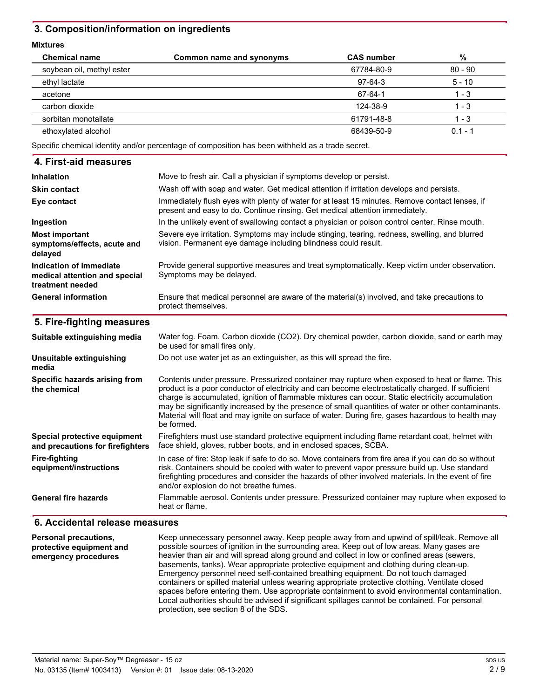## **3. Composition/information on ingredients**

#### **Mixtures**

| <b>Chemical name</b>      | Common name and synonyms | <b>CAS number</b> | %         |
|---------------------------|--------------------------|-------------------|-----------|
| soybean oil, methyl ester |                          | 67784-80-9        | $80 - 90$ |
| ethyl lactate             |                          | 97-64-3           | $5 - 10$  |
| acetone                   |                          | 67-64-1           | 1 - 3     |
| carbon dioxide            |                          | 124-38-9          | 1 - 3     |
| sorbitan monotallate      |                          | 61791-48-8        | 1 - 3     |
| ethoxylated alcohol       |                          | 68439-50-9        | $0.1 - 1$ |

Specific chemical identity and/or percentage of composition has been withheld as a trade secret.

| 4. First-aid measures                                                        |                                                                                                                                                                                                                                                                                                                                                                                                                                                                                                                                    |  |
|------------------------------------------------------------------------------|------------------------------------------------------------------------------------------------------------------------------------------------------------------------------------------------------------------------------------------------------------------------------------------------------------------------------------------------------------------------------------------------------------------------------------------------------------------------------------------------------------------------------------|--|
| <b>Inhalation</b>                                                            | Move to fresh air. Call a physician if symptoms develop or persist.                                                                                                                                                                                                                                                                                                                                                                                                                                                                |  |
| <b>Skin contact</b>                                                          | Wash off with soap and water. Get medical attention if irritation develops and persists.                                                                                                                                                                                                                                                                                                                                                                                                                                           |  |
| Eye contact                                                                  | Immediately flush eyes with plenty of water for at least 15 minutes. Remove contact lenses, if<br>present and easy to do. Continue rinsing. Get medical attention immediately.                                                                                                                                                                                                                                                                                                                                                     |  |
| Ingestion                                                                    | In the unlikely event of swallowing contact a physician or poison control center. Rinse mouth.                                                                                                                                                                                                                                                                                                                                                                                                                                     |  |
| <b>Most important</b><br>symptoms/effects, acute and<br>delayed              | Severe eye irritation. Symptoms may include stinging, tearing, redness, swelling, and blurred<br>vision. Permanent eye damage including blindness could result.                                                                                                                                                                                                                                                                                                                                                                    |  |
| Indication of immediate<br>medical attention and special<br>treatment needed | Provide general supportive measures and treat symptomatically. Keep victim under observation.<br>Symptoms may be delayed.                                                                                                                                                                                                                                                                                                                                                                                                          |  |
| <b>General information</b>                                                   | Ensure that medical personnel are aware of the material(s) involved, and take precautions to<br>protect themselves.                                                                                                                                                                                                                                                                                                                                                                                                                |  |
| 5. Fire-fighting measures                                                    |                                                                                                                                                                                                                                                                                                                                                                                                                                                                                                                                    |  |
| Suitable extinguishing media                                                 | Water fog. Foam. Carbon dioxide (CO2). Dry chemical powder, carbon dioxide, sand or earth may<br>be used for small fires only.                                                                                                                                                                                                                                                                                                                                                                                                     |  |
| Unsuitable extinguishing<br>media                                            | Do not use water jet as an extinguisher, as this will spread the fire.                                                                                                                                                                                                                                                                                                                                                                                                                                                             |  |
| Specific hazards arising from<br>the chemical                                | Contents under pressure. Pressurized container may rupture when exposed to heat or flame. This<br>product is a poor conductor of electricity and can become electrostatically charged. If sufficient<br>charge is accumulated, ignition of flammable mixtures can occur. Static electricity accumulation<br>may be significantly increased by the presence of small quantities of water or other contaminants.<br>Material will float and may ignite on surface of water. During fire, gases hazardous to health may<br>be formed. |  |
| Special protective equipment<br>and precautions for firefighters             | Firefighters must use standard protective equipment including flame retardant coat, helmet with<br>face shield, gloves, rubber boots, and in enclosed spaces, SCBA.                                                                                                                                                                                                                                                                                                                                                                |  |
| <b>Fire-fighting</b><br>equipment/instructions                               | In case of fire: Stop leak if safe to do so. Move containers from fire area if you can do so without<br>risk. Containers should be cooled with water to prevent vapor pressure build up. Use standard<br>firefighting procedures and consider the hazards of other involved materials. In the event of fire<br>and/or explosion do not breathe fumes.                                                                                                                                                                              |  |
| <b>General fire hazards</b>                                                  | Flammable aerosol. Contents under pressure. Pressurized container may rupture when exposed to<br>heat or flame.                                                                                                                                                                                                                                                                                                                                                                                                                    |  |

#### **6. Accidental release measures**

Keep unnecessary personnel away. Keep people away from and upwind of spill/leak. Remove all possible sources of ignition in the surrounding area. Keep out of low areas. Many gases are heavier than air and will spread along ground and collect in low or confined areas (sewers, basements, tanks). Wear appropriate protective equipment and clothing during clean-up. Emergency personnel need self-contained breathing equipment. Do not touch damaged containers or spilled material unless wearing appropriate protective clothing. Ventilate closed spaces before entering them. Use appropriate containment to avoid environmental contamination. Local authorities should be advised if significant spillages cannot be contained. For personal protection, see section 8 of the SDS. **Personal precautions, protective equipment and emergency procedures**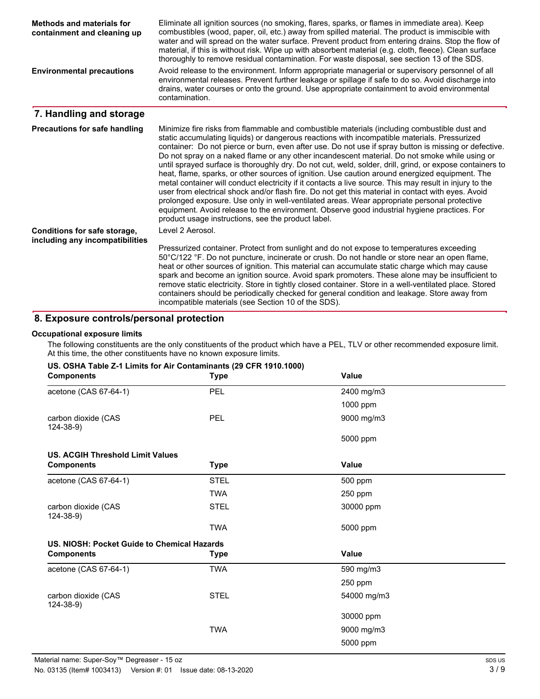| <b>Methods and materials for</b><br>containment and cleaning up | Eliminate all ignition sources (no smoking, flares, sparks, or flames in immediate area). Keep<br>combustibles (wood, paper, oil, etc.) away from spilled material. The product is immiscible with<br>water and will spread on the water surface. Prevent product from entering drains. Stop the flow of<br>material, if this is without risk. Wipe up with absorbent material (e.g. cloth, fleece). Clean surface<br>thoroughly to remove residual contamination. For waste disposal, see section 13 of the SDS.                                                                                                                                                                                                                                                                                                                                                                                                                                                                                                                                                                         |
|-----------------------------------------------------------------|-------------------------------------------------------------------------------------------------------------------------------------------------------------------------------------------------------------------------------------------------------------------------------------------------------------------------------------------------------------------------------------------------------------------------------------------------------------------------------------------------------------------------------------------------------------------------------------------------------------------------------------------------------------------------------------------------------------------------------------------------------------------------------------------------------------------------------------------------------------------------------------------------------------------------------------------------------------------------------------------------------------------------------------------------------------------------------------------|
| <b>Environmental precautions</b>                                | Avoid release to the environment. Inform appropriate managerial or supervisory personnel of all<br>environmental releases. Prevent further leakage or spillage if safe to do so. Avoid discharge into<br>drains, water courses or onto the ground. Use appropriate containment to avoid environmental<br>contamination.                                                                                                                                                                                                                                                                                                                                                                                                                                                                                                                                                                                                                                                                                                                                                                   |
| 7. Handling and storage                                         |                                                                                                                                                                                                                                                                                                                                                                                                                                                                                                                                                                                                                                                                                                                                                                                                                                                                                                                                                                                                                                                                                           |
| <b>Precautions for safe handling</b>                            | Minimize fire risks from flammable and combustible materials (including combustible dust and<br>static accumulating liquids) or dangerous reactions with incompatible materials. Pressurized<br>container: Do not pierce or burn, even after use. Do not use if spray button is missing or defective.<br>Do not spray on a naked flame or any other incandescent material. Do not smoke while using or<br>until sprayed surface is thoroughly dry. Do not cut, weld, solder, drill, grind, or expose containers to<br>heat, flame, sparks, or other sources of ignition. Use caution around energized equipment. The<br>metal container will conduct electricity if it contacts a live source. This may result in injury to the<br>user from electrical shock and/or flash fire. Do not get this material in contact with eyes. Avoid<br>prolonged exposure. Use only in well-ventilated areas. Wear appropriate personal protective<br>equipment. Avoid release to the environment. Observe good industrial hygiene practices. For<br>product usage instructions, see the product label. |
| Conditions for safe storage,                                    | Level 2 Aerosol.                                                                                                                                                                                                                                                                                                                                                                                                                                                                                                                                                                                                                                                                                                                                                                                                                                                                                                                                                                                                                                                                          |
| including any incompatibilities                                 | Pressurized container. Protect from sunlight and do not expose to temperatures exceeding<br>50°C/122 °F. Do not puncture, incinerate or crush. Do not handle or store near an open flame,<br>heat or other sources of ignition. This material can accumulate static charge which may cause<br>spark and become an ignition source. Avoid spark promoters. These alone may be insufficient to<br>remove static electricity. Store in tightly closed container. Store in a well-ventilated place. Stored<br>containers should be periodically checked for general condition and leakage. Store away from<br>incompatible materials (see Section 10 of the SDS).                                                                                                                                                                                                                                                                                                                                                                                                                             |

# **8. Exposure controls/personal protection**

#### **Occupational exposure limits**

The following constituents are the only constituents of the product which have a PEL, TLV or other recommended exposure limit. At this time, the other constituents have no known exposure limits.

| <b>Components</b>                                                                                                                                                      | <b>Type</b> | <b>Value</b> |        |
|------------------------------------------------------------------------------------------------------------------------------------------------------------------------|-------------|--------------|--------|
| acetone (CAS 67-64-1)                                                                                                                                                  | PEL         | 2400 mg/m3   |        |
|                                                                                                                                                                        |             | 1000 ppm     |        |
| carbon dioxide (CAS<br>$124 - 38 - 9$                                                                                                                                  | <b>PEL</b>  | 9000 mg/m3   |        |
|                                                                                                                                                                        |             | 5000 ppm     |        |
| <b>US. ACGIH Threshold Limit Values</b>                                                                                                                                |             |              |        |
| <b>Components</b>                                                                                                                                                      | <b>Type</b> | Value        |        |
| acetone (CAS 67-64-1)                                                                                                                                                  | <b>STEL</b> | 500 ppm      |        |
|                                                                                                                                                                        | <b>TWA</b>  | 250 ppm      |        |
| carbon dioxide (CAS<br>$124 - 38 - 9$                                                                                                                                  | <b>STEL</b> | 30000 ppm    |        |
|                                                                                                                                                                        | <b>TWA</b>  | 5000 ppm     |        |
| US. NIOSH: Pocket Guide to Chemical Hazards                                                                                                                            |             |              |        |
| <b>Components</b>                                                                                                                                                      | <b>Type</b> | Value        |        |
| acetone (CAS 67-64-1)                                                                                                                                                  | <b>TWA</b>  | 590 mg/m3    |        |
|                                                                                                                                                                        |             | 250 ppm      |        |
| carbon dioxide (CAS<br>$124 - 38 - 9$                                                                                                                                  | <b>STEL</b> | 54000 mg/m3  |        |
|                                                                                                                                                                        |             | 30000 ppm    |        |
|                                                                                                                                                                        | <b>TWA</b>  | 9000 mg/m3   |        |
|                                                                                                                                                                        |             | 5000 ppm     |        |
| aterial name: Super-Soy™ Degreaser - 15 oz                                                                                                                             |             |              | SDS US |
| $0.0405$ (H <sub>2</sub> $\ldots$ H <sub>4000440</sub> ) $\ldots$ H <sub>2</sub> $\ldots$ H <sub>2</sub> 04 H <sub>2</sub> $\ldots$ H <sub>2</sub> $\ldots$ 00 40,0000 |             |              | 210    |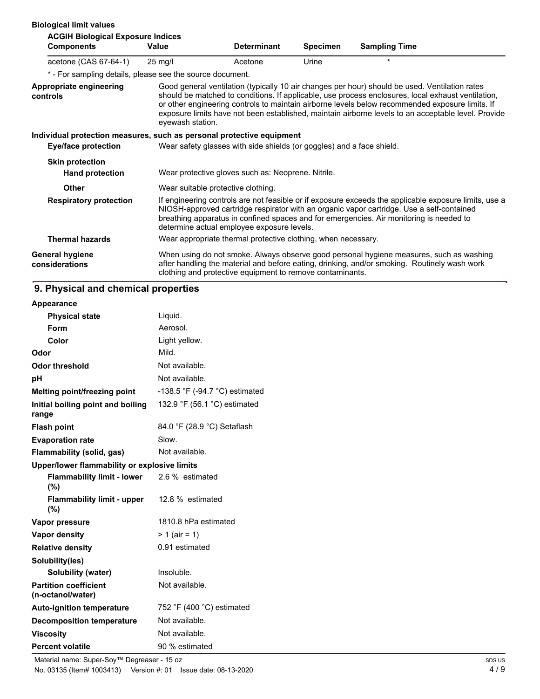| <b>Biological limit values</b>                                        |                   |                                                                       |                 |                                                                                                                                                                                                                                                                                                                                                                                                                |
|-----------------------------------------------------------------------|-------------------|-----------------------------------------------------------------------|-----------------|----------------------------------------------------------------------------------------------------------------------------------------------------------------------------------------------------------------------------------------------------------------------------------------------------------------------------------------------------------------------------------------------------------------|
| <b>ACGIH Biological Exposure Indices</b><br><b>Components</b>         | Value             | <b>Determinant</b>                                                    | <b>Specimen</b> | <b>Sampling Time</b>                                                                                                                                                                                                                                                                                                                                                                                           |
| acetone (CAS 67-64-1)                                                 | $25 \text{ mq/l}$ | Acetone                                                               | Urine           | $\star$                                                                                                                                                                                                                                                                                                                                                                                                        |
| * - For sampling details, please see the source document.             |                   |                                                                       |                 |                                                                                                                                                                                                                                                                                                                                                                                                                |
| <b>Appropriate engineering</b><br>controls                            | eyewash station.  |                                                                       |                 | Good general ventilation (typically 10 air changes per hour) should be used. Ventilation rates<br>should be matched to conditions. If applicable, use process enclosures, local exhaust ventilation,<br>or other engineering controls to maintain airborne levels below recommended exposure limits. If<br>exposure limits have not been established, maintain airborne levels to an acceptable level. Provide |
| Individual protection measures, such as personal protective equipment |                   |                                                                       |                 |                                                                                                                                                                                                                                                                                                                                                                                                                |
| <b>Eye/face protection</b>                                            |                   | Wear safety glasses with side shields (or goggles) and a face shield. |                 |                                                                                                                                                                                                                                                                                                                                                                                                                |
| <b>Skin protection</b>                                                |                   |                                                                       |                 |                                                                                                                                                                                                                                                                                                                                                                                                                |
| <b>Hand protection</b>                                                |                   | Wear protective gloves such as: Neoprene. Nitrile.                    |                 |                                                                                                                                                                                                                                                                                                                                                                                                                |
| <b>Other</b>                                                          |                   | Wear suitable protective clothing.                                    |                 |                                                                                                                                                                                                                                                                                                                                                                                                                |
| <b>Respiratory protection</b>                                         |                   | determine actual employee exposure levels.                            |                 | If engineering controls are not feasible or if exposure exceeds the applicable exposure limits, use a<br>NIOSH-approved cartridge respirator with an organic vapor cartridge. Use a self-contained<br>breathing apparatus in confined spaces and for emergencies. Air monitoring is needed to                                                                                                                  |
| <b>Thermal hazards</b>                                                |                   | Wear appropriate thermal protective clothing, when necessary.         |                 |                                                                                                                                                                                                                                                                                                                                                                                                                |
| <b>General hygiene</b><br>considerations                              |                   | clothing and protective equipment to remove contaminants.             |                 | When using do not smoke. Always observe good personal hygiene measures, such as washing<br>after handling the material and before eating, drinking, and/or smoking. Routinely wash work                                                                                                                                                                                                                        |

# **9. Physical and chemical properties**

| Appearance                                        |                                |
|---------------------------------------------------|--------------------------------|
| <b>Physical state</b>                             | Liquid.                        |
| Form                                              | Aerosol.                       |
| Color                                             | Light yellow.                  |
| Odor                                              | Mild.                          |
| <b>Odor threshold</b>                             | Not available.                 |
| рH                                                | Not available.                 |
| Melting point/freezing point                      | -138.5 °F (-94.7 °C) estimated |
| Initial boiling point and boiling<br>range        | 132.9 °F (56.1 °C) estimated   |
| <b>Flash point</b>                                | 84.0 °F (28.9 °C) Setaflash    |
| <b>Evaporation rate</b>                           | Slow.                          |
| Flammability (solid, gas)                         | Not available.                 |
| Upper/lower flammability or explosive limits      |                                |
| <b>Flammability limit - lower</b><br>(%)          | 2.6 % estimated                |
| <b>Flammability limit - upper</b><br>$(\%)$       | 12.8 % estimated               |
| Vapor pressure                                    | 1810.8 hPa estimated           |
| Vapor density                                     | $> 1$ (air = 1)                |
| <b>Relative density</b>                           | 0.91 estimated                 |
| Solubility(ies)                                   |                                |
| <b>Solubility (water)</b>                         | Insoluble.                     |
| <b>Partition coefficient</b><br>(n-octanol/water) | Not available.                 |
| <b>Auto-ignition temperature</b>                  | 752 °F (400 °C) estimated      |
| <b>Decomposition temperature</b>                  | Not available.                 |
| <b>Viscosity</b>                                  | Not available.                 |
| <b>Percent volatile</b>                           | 90 % estimated                 |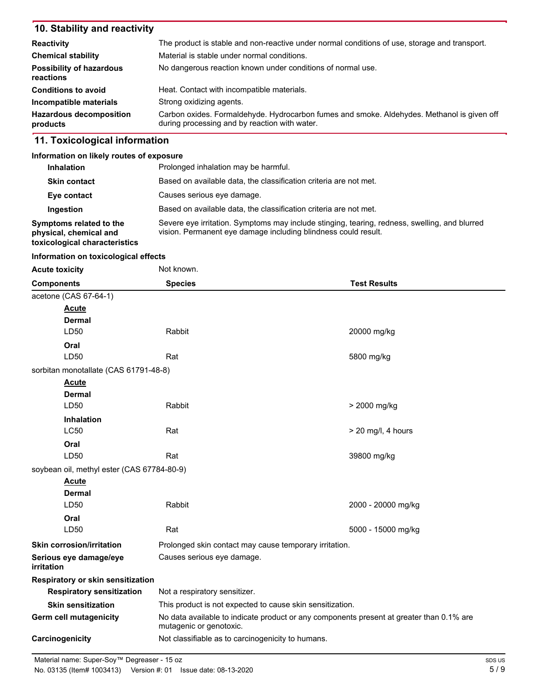## **10. Stability and reactivity**

| <b>Reactivity</b>                            | The product is stable and non-reactive under normal conditions of use, storage and transport.                                               |
|----------------------------------------------|---------------------------------------------------------------------------------------------------------------------------------------------|
| <b>Chemical stability</b>                    | Material is stable under normal conditions.                                                                                                 |
| <b>Possibility of hazardous</b><br>reactions | No dangerous reaction known under conditions of normal use.                                                                                 |
| <b>Conditions to avoid</b>                   | Heat. Contact with incompatible materials.                                                                                                  |
| Incompatible materials                       | Strong oxidizing agents.                                                                                                                    |
| <b>Hazardous decomposition</b><br>products   | Carbon oxides. Formaldehyde. Hydrocarbon fumes and smoke. Aldehydes. Methanol is given off<br>during processing and by reaction with water. |

## **11. Toxicological information**

#### **Information on likely routes of exposure**

| <b>Inhalation</b>                                                                  | Prolonged inhalation may be harmful.                                                                                                                            |
|------------------------------------------------------------------------------------|-----------------------------------------------------------------------------------------------------------------------------------------------------------------|
| <b>Skin contact</b>                                                                | Based on available data, the classification criteria are not met.                                                                                               |
| Eye contact                                                                        | Causes serious eye damage.                                                                                                                                      |
| Ingestion                                                                          | Based on available data, the classification criteria are not met.                                                                                               |
| Symptoms related to the<br>physical, chemical and<br>toxicological characteristics | Severe eye irritation. Symptoms may include stinging, tearing, redness, swelling, and blurred<br>vision. Permanent eye damage including blindness could result. |

### **Information on toxicological effects**

| <b>Acute toxicity</b>                      | Not known.                                                |                                                                                          |
|--------------------------------------------|-----------------------------------------------------------|------------------------------------------------------------------------------------------|
| <b>Components</b>                          | <b>Species</b>                                            | <b>Test Results</b>                                                                      |
| acetone (CAS 67-64-1)                      |                                                           |                                                                                          |
| <b>Acute</b>                               |                                                           |                                                                                          |
| <b>Dermal</b>                              |                                                           |                                                                                          |
| LD50                                       | Rabbit                                                    | 20000 mg/kg                                                                              |
| Oral                                       |                                                           |                                                                                          |
| LD50                                       | Rat                                                       | 5800 mg/kg                                                                               |
| sorbitan monotallate (CAS 61791-48-8)      |                                                           |                                                                                          |
| <b>Acute</b>                               |                                                           |                                                                                          |
| <b>Dermal</b>                              |                                                           |                                                                                          |
| LD50                                       | Rabbit                                                    | > 2000 mg/kg                                                                             |
| <b>Inhalation</b>                          |                                                           |                                                                                          |
| <b>LC50</b>                                | Rat                                                       | $>$ 20 mg/l, 4 hours                                                                     |
| Oral                                       |                                                           |                                                                                          |
| LD50                                       | Rat                                                       | 39800 mg/kg                                                                              |
| soybean oil, methyl ester (CAS 67784-80-9) |                                                           |                                                                                          |
| <b>Acute</b>                               |                                                           |                                                                                          |
| Dermal                                     |                                                           |                                                                                          |
| LD50                                       | Rabbit                                                    | 2000 - 20000 mg/kg                                                                       |
| Oral                                       |                                                           |                                                                                          |
| LD50                                       | Rat                                                       | 5000 - 15000 mg/kg                                                                       |
| <b>Skin corrosion/irritation</b>           | Prolonged skin contact may cause temporary irritation.    |                                                                                          |
| Serious eye damage/eye<br>irritation       | Causes serious eye damage.                                |                                                                                          |
| Respiratory or skin sensitization          |                                                           |                                                                                          |
| <b>Respiratory sensitization</b>           | Not a respiratory sensitizer.                             |                                                                                          |
| <b>Skin sensitization</b>                  | This product is not expected to cause skin sensitization. |                                                                                          |
| Germ cell mutagenicity                     | mutagenic or genotoxic.                                   | No data available to indicate product or any components present at greater than 0.1% are |
| Carcinogenicity                            | Not classifiable as to carcinogenicity to humans.         |                                                                                          |

No. 03135 (Item# 1003413) Version #: 01 Issue date: 08-13-2020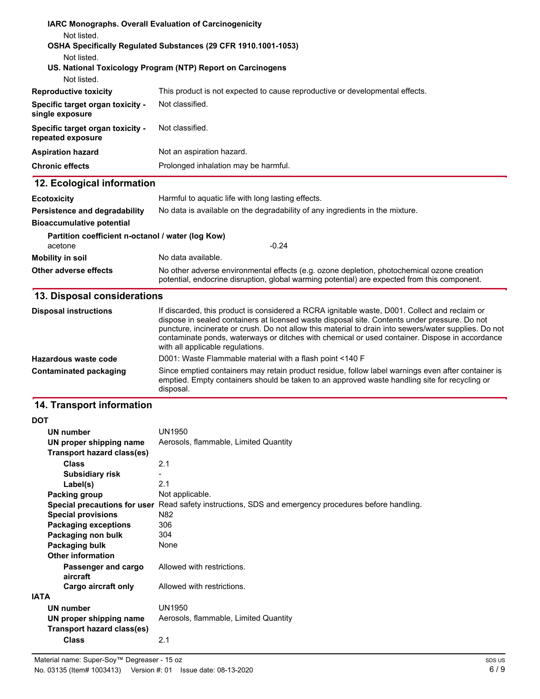|                                                       | IARC Monographs. Overall Evaluation of Carcinogenicity                                                                                                                                                                                                                                                                                                                                                                                        |  |  |
|-------------------------------------------------------|-----------------------------------------------------------------------------------------------------------------------------------------------------------------------------------------------------------------------------------------------------------------------------------------------------------------------------------------------------------------------------------------------------------------------------------------------|--|--|
| Not listed.                                           | OSHA Specifically Regulated Substances (29 CFR 1910.1001-1053)                                                                                                                                                                                                                                                                                                                                                                                |  |  |
| Not listed.                                           |                                                                                                                                                                                                                                                                                                                                                                                                                                               |  |  |
|                                                       | US. National Toxicology Program (NTP) Report on Carcinogens                                                                                                                                                                                                                                                                                                                                                                                   |  |  |
| Not listed.                                           |                                                                                                                                                                                                                                                                                                                                                                                                                                               |  |  |
| <b>Reproductive toxicity</b>                          | This product is not expected to cause reproductive or developmental effects.                                                                                                                                                                                                                                                                                                                                                                  |  |  |
| Specific target organ toxicity -<br>single exposure   | Not classified.                                                                                                                                                                                                                                                                                                                                                                                                                               |  |  |
| Specific target organ toxicity -<br>repeated exposure | Not classified.                                                                                                                                                                                                                                                                                                                                                                                                                               |  |  |
| <b>Aspiration hazard</b>                              | Not an aspiration hazard.                                                                                                                                                                                                                                                                                                                                                                                                                     |  |  |
| <b>Chronic effects</b>                                | Prolonged inhalation may be harmful.                                                                                                                                                                                                                                                                                                                                                                                                          |  |  |
| 12. Ecological information                            |                                                                                                                                                                                                                                                                                                                                                                                                                                               |  |  |
| <b>Ecotoxicity</b>                                    | Harmful to aquatic life with long lasting effects.                                                                                                                                                                                                                                                                                                                                                                                            |  |  |
| Persistence and degradability                         | No data is available on the degradability of any ingredients in the mixture.                                                                                                                                                                                                                                                                                                                                                                  |  |  |
| <b>Bioaccumulative potential</b>                      |                                                                                                                                                                                                                                                                                                                                                                                                                                               |  |  |
| Partition coefficient n-octanol / water (log Kow)     |                                                                                                                                                                                                                                                                                                                                                                                                                                               |  |  |
| acetone                                               | $-0.24$                                                                                                                                                                                                                                                                                                                                                                                                                                       |  |  |
| <b>Mobility in soil</b>                               | No data available.                                                                                                                                                                                                                                                                                                                                                                                                                            |  |  |
| Other adverse effects                                 | No other adverse environmental effects (e.g. ozone depletion, photochemical ozone creation<br>potential, endocrine disruption, global warming potential) are expected from this component.                                                                                                                                                                                                                                                    |  |  |
| 13. Disposal considerations                           |                                                                                                                                                                                                                                                                                                                                                                                                                                               |  |  |
| <b>Disposal instructions</b>                          | If discarded, this product is considered a RCRA ignitable waste, D001. Collect and reclaim or<br>dispose in sealed containers at licensed waste disposal site. Contents under pressure. Do not<br>puncture, incinerate or crush. Do not allow this material to drain into sewers/water supplies. Do not<br>contaminate ponds, waterways or ditches with chemical or used container. Dispose in accordance<br>with all applicable regulations. |  |  |

**Hazardous waste code** D001: Waste Flammable material with a flash point <140 F Since emptied containers may retain product residue, follow label warnings even after container is emptied. Empty containers should be taken to an approved waste handling site for recycling or disposal. **Contaminated packaging**

# **14. Transport information**

### **DOT**

|             | <b>UN number</b>                | UN1950                                                                  |
|-------------|---------------------------------|-------------------------------------------------------------------------|
|             | UN proper shipping name         | Aerosols, flammable, Limited Quantity                                   |
|             | Transport hazard class(es)      |                                                                         |
|             | <b>Class</b>                    | 2.1                                                                     |
|             | <b>Subsidiary risk</b>          |                                                                         |
|             | Label(s)                        | 2.1                                                                     |
|             | Packing group                   | Not applicable.                                                         |
|             | Special precautions for user    | Read safety instructions, SDS and emergency procedures before handling. |
|             | <b>Special provisions</b>       | N82                                                                     |
|             | <b>Packaging exceptions</b>     | 306                                                                     |
|             | Packaging non bulk              | 304                                                                     |
|             | Packaging bulk                  | None                                                                    |
|             | <b>Other information</b>        |                                                                         |
|             | Passenger and cargo<br>aircraft | Allowed with restrictions.                                              |
|             | Cargo aircraft only             | Allowed with restrictions.                                              |
| <b>IATA</b> |                                 |                                                                         |
|             | UN number                       | UN1950                                                                  |
|             | UN proper shipping name         | Aerosols, flammable, Limited Quantity                                   |
|             | Transport hazard class(es)      |                                                                         |
|             | <b>Class</b>                    | 2.1                                                                     |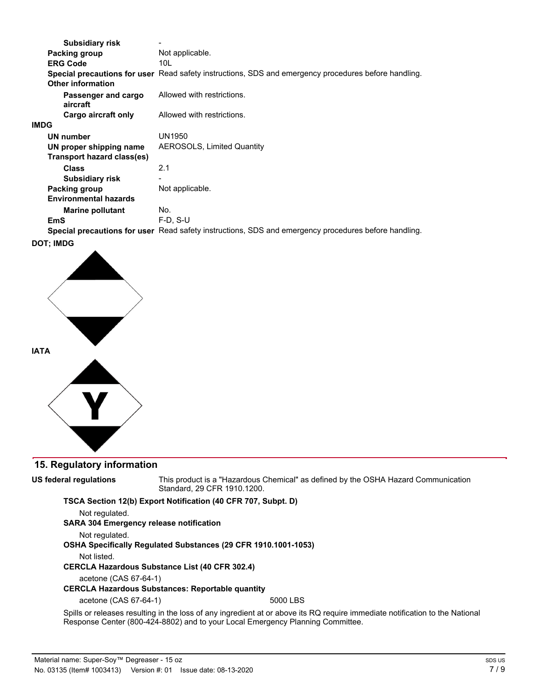| <b>Subsidiary risk</b>          |                                                                                                             |
|---------------------------------|-------------------------------------------------------------------------------------------------------------|
| Packing group                   | Not applicable.                                                                                             |
| <b>ERG Code</b>                 | 10L                                                                                                         |
|                                 | Special precautions for user Read safety instructions, SDS and emergency procedures before handling.        |
| <b>Other information</b>        |                                                                                                             |
| Passenger and cargo<br>aircraft | Allowed with restrictions.                                                                                  |
| Cargo aircraft only             | Allowed with restrictions.                                                                                  |
| <b>IMDG</b>                     |                                                                                                             |
| <b>UN number</b>                | UN1950                                                                                                      |
| UN proper shipping name         | <b>AEROSOLS, Limited Quantity</b>                                                                           |
| Transport hazard class(es)      |                                                                                                             |
| <b>Class</b>                    | 2.1                                                                                                         |
| <b>Subsidiary risk</b>          |                                                                                                             |
| Packing group                   | Not applicable.                                                                                             |
| <b>Environmental hazards</b>    |                                                                                                             |
| <b>Marine pollutant</b>         | No.                                                                                                         |
| EmS                             | $F-D. S-U$                                                                                                  |
|                                 | <b>Special precautions for user</b> Read safety instructions, SDS and emergency procedures before handling. |
|                                 |                                                                                                             |

#### **DOT; IMDG**



## **15. Regulatory information**

**US federal regulations**

This product is a "Hazardous Chemical" as defined by the OSHA Hazard Communication Standard, 29 CFR 1910.1200.

**TSCA Section 12(b) Export Notification (40 CFR 707, Subpt. D)**

Not regulated.

**SARA 304 Emergency release notification**

Not regulated.

**OSHA Specifically Regulated Substances (29 CFR 1910.1001-1053)**

Not listed.

**CERCLA Hazardous Substance List (40 CFR 302.4)**

acetone (CAS 67-64-1)

#### **CERCLA Hazardous Substances: Reportable quantity**

acetone (CAS 67-64-1) 5000 LBS

Spills or releases resulting in the loss of any ingredient at or above its RQ require immediate notification to the National Response Center (800-424-8802) and to your Local Emergency Planning Committee.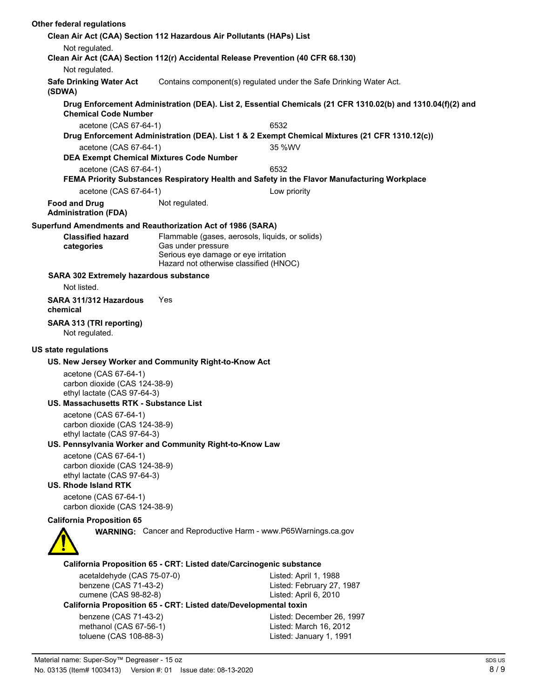| Other federal regulations                                             |                                                              |                                                                                                               |                                                                                                             |  |
|-----------------------------------------------------------------------|--------------------------------------------------------------|---------------------------------------------------------------------------------------------------------------|-------------------------------------------------------------------------------------------------------------|--|
|                                                                       |                                                              | Clean Air Act (CAA) Section 112 Hazardous Air Pollutants (HAPs) List                                          |                                                                                                             |  |
| Not regulated.                                                        |                                                              |                                                                                                               | Clean Air Act (CAA) Section 112(r) Accidental Release Prevention (40 CFR 68.130)                            |  |
| Not regulated.                                                        |                                                              |                                                                                                               |                                                                                                             |  |
| <b>Safe Drinking Water Act</b><br>(SDWA)                              |                                                              |                                                                                                               | Contains component(s) regulated under the Safe Drinking Water Act.                                          |  |
|                                                                       | <b>Chemical Code Number</b>                                  |                                                                                                               | Drug Enforcement Administration (DEA). List 2, Essential Chemicals (21 CFR 1310.02(b) and 1310.04(f)(2) and |  |
|                                                                       | acetone (CAS 67-64-1)                                        |                                                                                                               | 6532                                                                                                        |  |
|                                                                       |                                                              |                                                                                                               | Drug Enforcement Administration (DEA). List 1 & 2 Exempt Chemical Mixtures (21 CFR 1310.12(c))              |  |
|                                                                       | acetone (CAS 67-64-1)                                        |                                                                                                               | 35 %WV                                                                                                      |  |
|                                                                       | <b>DEA Exempt Chemical Mixtures Code Number</b>              |                                                                                                               |                                                                                                             |  |
|                                                                       | acetone (CAS 67-64-1)                                        |                                                                                                               | 6532                                                                                                        |  |
|                                                                       |                                                              |                                                                                                               | FEMA Priority Substances Respiratory Health and Safety in the Flavor Manufacturing Workplace                |  |
|                                                                       | acetone (CAS 67-64-1)                                        |                                                                                                               | Low priority                                                                                                |  |
| <b>Food and Drug</b><br><b>Administration (FDA)</b>                   |                                                              | Not regulated.                                                                                                |                                                                                                             |  |
|                                                                       |                                                              | Superfund Amendments and Reauthorization Act of 1986 (SARA)                                                   |                                                                                                             |  |
| <b>Classified hazard</b><br>categories                                |                                                              | Flammable (gases, aerosols, liquids, or solids)<br>Gas under pressure<br>Serious eye damage or eye irritation |                                                                                                             |  |
|                                                                       |                                                              | Hazard not otherwise classified (HNOC)                                                                        |                                                                                                             |  |
| Not listed.                                                           | <b>SARA 302 Extremely hazardous substance</b>                |                                                                                                               |                                                                                                             |  |
| SARA 311/312 Hazardous<br>chemical                                    | Yes                                                          |                                                                                                               |                                                                                                             |  |
| SARA 313 (TRI reporting)<br>Not regulated.                            |                                                              |                                                                                                               |                                                                                                             |  |
| US state regulations                                                  |                                                              |                                                                                                               |                                                                                                             |  |
|                                                                       |                                                              |                                                                                                               |                                                                                                             |  |
|                                                                       |                                                              | US. New Jersey Worker and Community Right-to-Know Act                                                         |                                                                                                             |  |
| acetone (CAS 67-64-1)                                                 | carbon dioxide (CAS 124-38-9)                                |                                                                                                               |                                                                                                             |  |
| ethyl lactate (CAS 97-64-3)<br>US. Massachusetts RTK - Substance List |                                                              |                                                                                                               |                                                                                                             |  |
| acetone (CAS 67-64-1)                                                 |                                                              |                                                                                                               |                                                                                                             |  |
|                                                                       | carbon dioxide (CAS 124-38-9)<br>ethyl lactate (CAS 97-64-3) |                                                                                                               |                                                                                                             |  |
|                                                                       |                                                              | US. Pennsylvania Worker and Community Right-to-Know Law                                                       |                                                                                                             |  |
| acetone (CAS 67-64-1)<br><b>US. Rhode Island RTK</b>                  | carbon dioxide (CAS 124-38-9)<br>ethyl lactate (CAS 97-64-3) |                                                                                                               |                                                                                                             |  |
| acetone (CAS 67-64-1)                                                 |                                                              |                                                                                                               |                                                                                                             |  |
|                                                                       | carbon dioxide (CAS 124-38-9)                                |                                                                                                               |                                                                                                             |  |
| <b>California Proposition 65</b>                                      |                                                              |                                                                                                               |                                                                                                             |  |
|                                                                       |                                                              |                                                                                                               | <b>WARNING:</b> Cancer and Reproductive Harm - www.P65Warnings.ca.gov                                       |  |
|                                                                       |                                                              | California Proposition 65 - CRT: Listed date/Carcinogenic substance                                           |                                                                                                             |  |
|                                                                       | acetaldehyde (CAS 75-07-0)                                   |                                                                                                               | Listed: April 1, 1988                                                                                       |  |
|                                                                       | benzene (CAS 71-43-2)                                        |                                                                                                               | Listed: February 27, 1987                                                                                   |  |
|                                                                       | cumene (CAS 98-82-8)                                         |                                                                                                               | Listed: April 6, 2010                                                                                       |  |
|                                                                       |                                                              | California Proposition 65 - CRT: Listed date/Developmental toxin                                              |                                                                                                             |  |
|                                                                       | benzene (CAS 71-43-2)                                        |                                                                                                               | Listed: December 26, 1997                                                                                   |  |
|                                                                       | methanol (CAS 67-56-1)                                       |                                                                                                               | Listed: March 16, 2012                                                                                      |  |
|                                                                       | toluene (CAS 108-88-3)                                       |                                                                                                               | Listed: January 1, 1991                                                                                     |  |
|                                                                       |                                                              |                                                                                                               |                                                                                                             |  |
|                                                                       | Motorial name: Super South Degreeser 15.07                   |                                                                                                               |                                                                                                             |  |